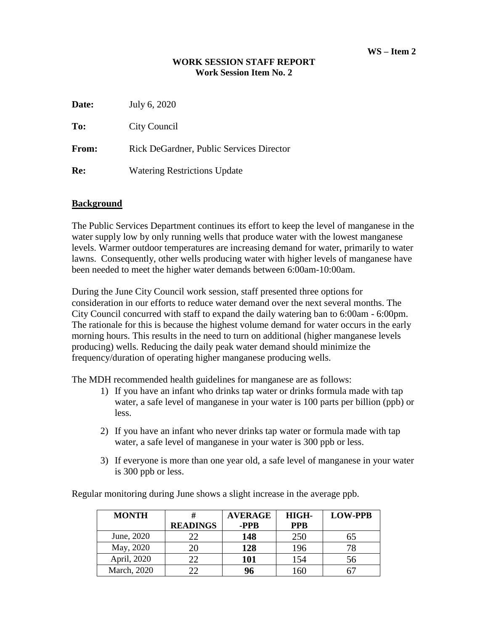## **WORK SESSION STAFF REPORT Work Session Item No. 2**

| Date: | July 6, 2020                                    |
|-------|-------------------------------------------------|
| To:   | City Council                                    |
| From: | <b>Rick DeGardner, Public Services Director</b> |
| Re:   | <b>Watering Restrictions Update</b>             |

## **Background**

The Public Services Department continues its effort to keep the level of manganese in the water supply low by only running wells that produce water with the lowest manganese levels. Warmer outdoor temperatures are increasing demand for water, primarily to water lawns. Consequently, other wells producing water with higher levels of manganese have been needed to meet the higher water demands between 6:00am-10:00am.

During the June City Council work session, staff presented three options for consideration in our efforts to reduce water demand over the next several months. The City Council concurred with staff to expand the daily watering ban to 6:00am - 6:00pm. The rationale for this is because the highest volume demand for water occurs in the early morning hours. This results in the need to turn on additional (higher manganese levels producing) wells. Reducing the daily peak water demand should minimize the frequency/duration of operating higher manganese producing wells.

The MDH recommended health guidelines for manganese are as follows:

- 1) If you have an infant who drinks tap water or drinks formula made with tap water, a safe level of manganese in your water is 100 parts per billion (ppb) or less.
- 2) If you have an infant who never drinks tap water or formula made with tap water, a safe level of manganese in your water is 300 ppb or less.
- 3) If everyone is more than one year old, a safe level of manganese in your water is 300 ppb or less.

Regular monitoring during June shows a slight increase in the average ppb.

| <b>MONTH</b> |                 | <b>AVERAGE</b> | HIGH-      | <b>LOW-PPB</b> |
|--------------|-----------------|----------------|------------|----------------|
|              | <b>READINGS</b> | -PPB           | <b>PPB</b> |                |
| June, 2020   |                 | 148            | 250        |                |
| May, 2020    |                 | 128            | 196        |                |
| April, 2020  |                 | 101            | 154        | 56             |
| March, 2020  |                 | 96             | l 60       |                |